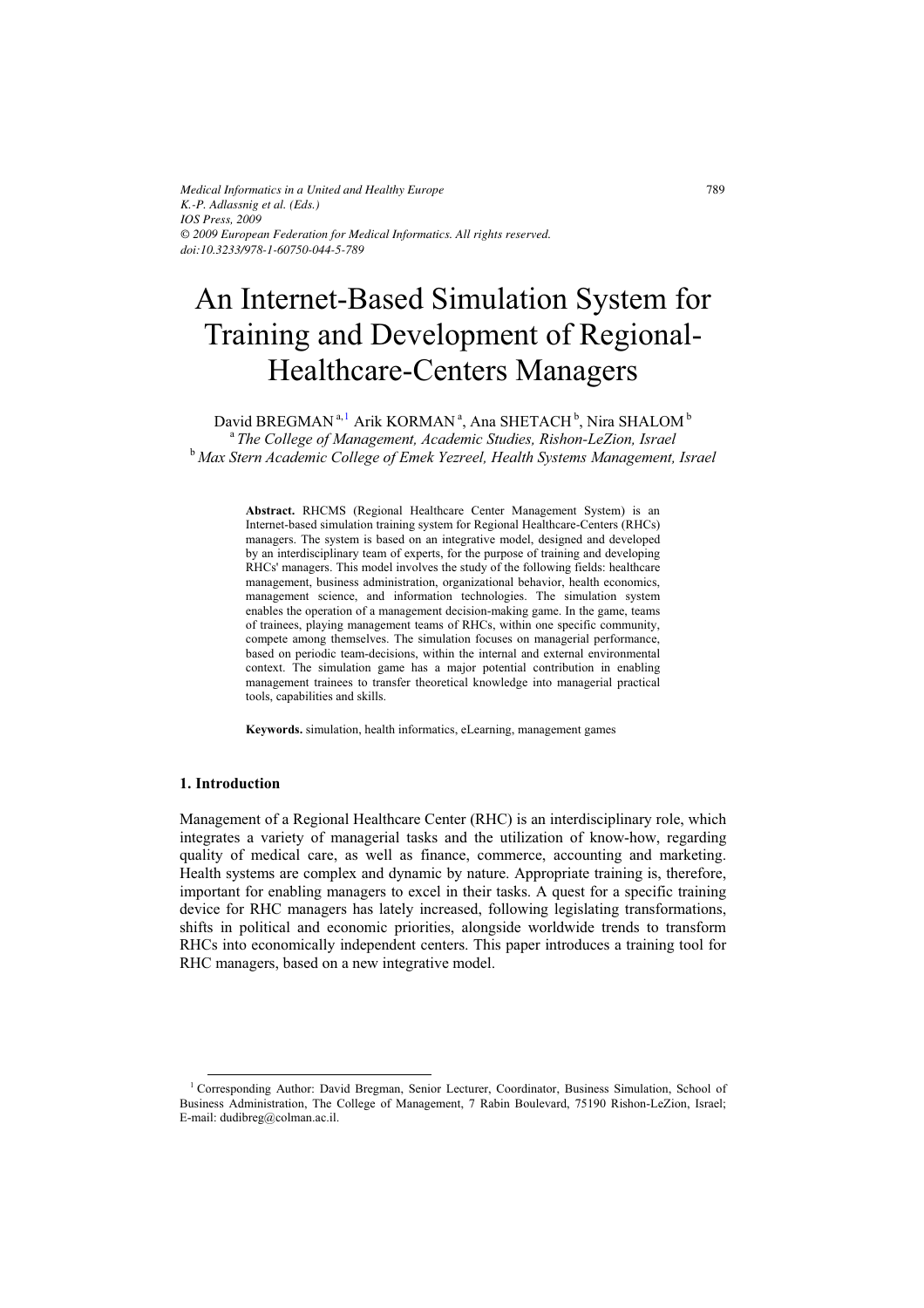*Medical Informatics in a United and Healthy Europe K.-P. Adlassnig et al. (Eds.) IOS Press, 2009 © 2009 European Federation for Medical Informatics. All rights reserved. doi:10.3233/978-1-60750-044-5-789*

# An Internet-Based Simulation System for Training and Development of Regional-Healthcare-Centers Managers

David BREGMAN<sup>a, 1</sup> Arik KORMAN<sup>a</sup>, Ana SHETACH<sup>b</sup>, Nira SHALOM<sup>b</sup> <sup>a</sup> The College of Management, Academic Studies, Rishon-LeZion, Israel <sup>b</sup> *Max Stern Academic College of Emek Yezreel, Health Systems Management, Israel* 

> **Abstract.** RHCMS (Regional Healthcare Center Management System) is an Internet-based simulation training system for Regional Healthcare-Centers (RHCs) managers. The system is based on an integrative model, designed and developed by an interdisciplinary team of experts, for the purpose of training and developing RHCs' managers. This model involves the study of the following fields: healthcare management, business administration, organizational behavior, health economics, management science, and information technologies. The simulation system enables the operation of a management decision-making game. In the game, teams of trainees, playing management teams of RHCs, within one specific community, compete among themselves. The simulation focuses on managerial performance, based on periodic team-decisions, within the internal and external environmental context. The simulation game has a major potential contribution in enabling management trainees to transfer theoretical knowledge into managerial practical tools, capabilities and skills.

**Keywords.** simulation, health informatics, eLearning, management games

#### **1. Introduction**

 $\overline{a}$ 

Management of a Regional Healthcare Center (RHC) is an interdisciplinary role, which integrates a variety of managerial tasks and the utilization of know-how, regarding quality of medical care, as well as finance, commerce, accounting and marketing. Health systems are complex and dynamic by nature. Appropriate training is, therefore, important for enabling managers to excel in their tasks. A quest for a specific training device for RHC managers has lately increased, following legislating transformations, shifts in political and economic priorities, alongside worldwide trends to transform RHCs into economically independent centers. This paper introduces a training tool for RHC managers, based on a new integrative model.

<sup>&</sup>lt;sup>1</sup> Corresponding Author: David Bregman, Senior Lecturer, Coordinator, Business Simulation, School of Business Administration, The College of Management, 7 Rabin Boulevard, 75190 Rishon-LeZion, Israel; E-mail: dudibreg@colman.ac.il.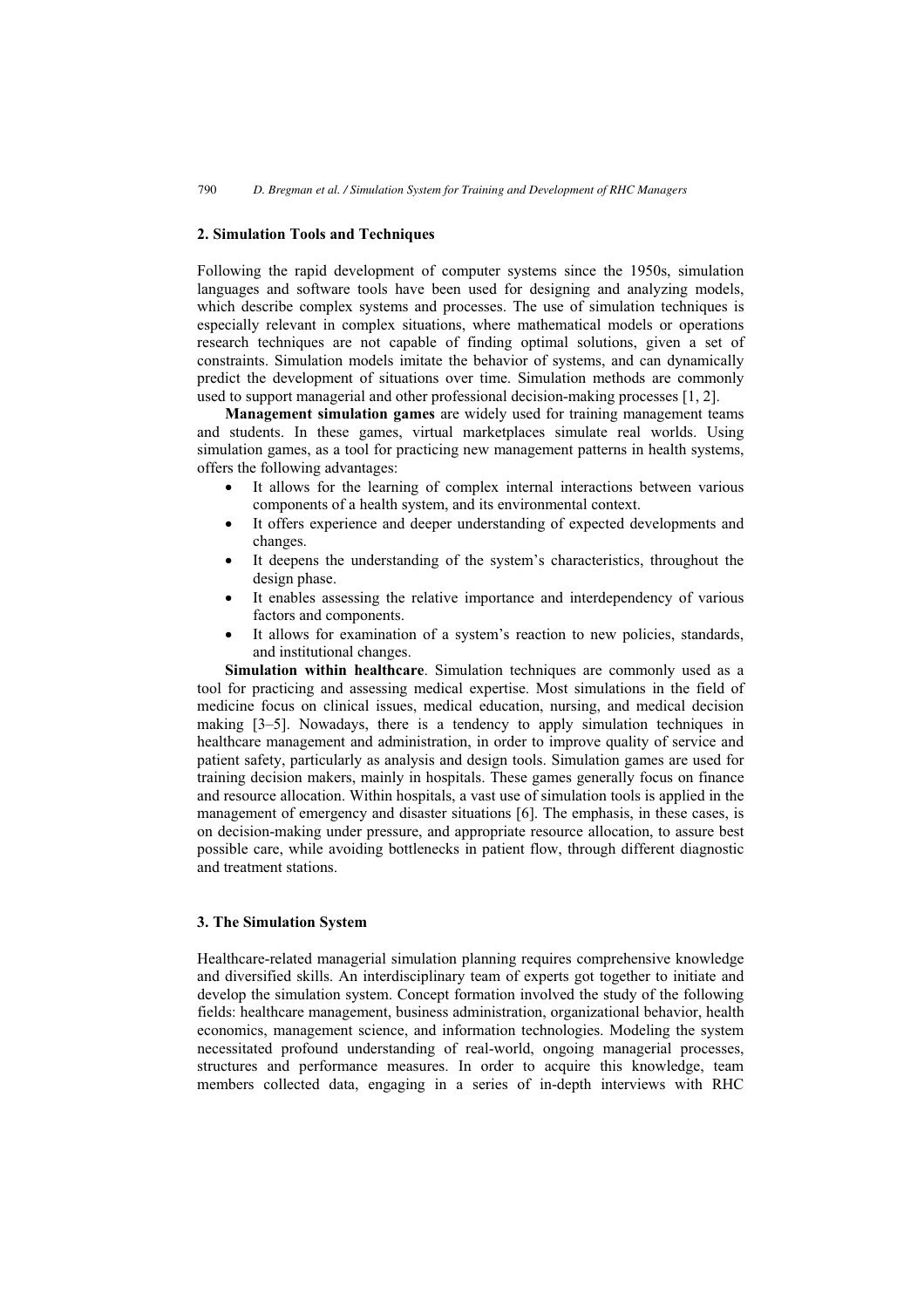# **2. Simulation Tools and Techniques**

Following the rapid development of computer systems since the 1950s, simulation languages and software tools have been used for designing and analyzing models, which describe complex systems and processes. The use of simulation techniques is especially relevant in complex situations, where mathematical models or operations research techniques are not capable of finding optimal solutions, given a set of constraints. Simulation models imitate the behavior of systems, and can dynamically predict the development of situations over time. Simulation methods are commonly used to support managerial and other professional decision-making processes [1, 2].

**Management simulation games** are widely used for training management teams and students. In these games, virtual marketplaces simulate real worlds. Using simulation games, as a tool for practicing new management patterns in health systems, offers the following advantages:

- It allows for the learning of complex internal interactions between various components of a health system, and its environmental context.
- It offers experience and deeper understanding of expected developments and changes.
- It deepens the understanding of the system's characteristics, throughout the design phase.
- It enables assessing the relative importance and interdependency of various factors and components.
- It allows for examination of a system's reaction to new policies, standards, and institutional changes.

**Simulation within healthcare**. Simulation techniques are commonly used as a tool for practicing and assessing medical expertise. Most simulations in the field of medicine focus on clinical issues, medical education, nursing, and medical decision making [3–5]. Nowadays, there is a tendency to apply simulation techniques in healthcare management and administration, in order to improve quality of service and patient safety, particularly as analysis and design tools. Simulation games are used for training decision makers, mainly in hospitals. These games generally focus on finance and resource allocation. Within hospitals, a vast use of simulation tools is applied in the management of emergency and disaster situations [6]. The emphasis, in these cases, is on decision-making under pressure, and appropriate resource allocation, to assure best possible care, while avoiding bottlenecks in patient flow, through different diagnostic and treatment stations.

#### **3. The Simulation System**

Healthcare-related managerial simulation planning requires comprehensive knowledge and diversified skills. An interdisciplinary team of experts got together to initiate and develop the simulation system. Concept formation involved the study of the following fields: healthcare management, business administration, organizational behavior, health economics, management science, and information technologies. Modeling the system necessitated profound understanding of real-world, ongoing managerial processes, structures and performance measures. In order to acquire this knowledge, team members collected data, engaging in a series of in-depth interviews with RHC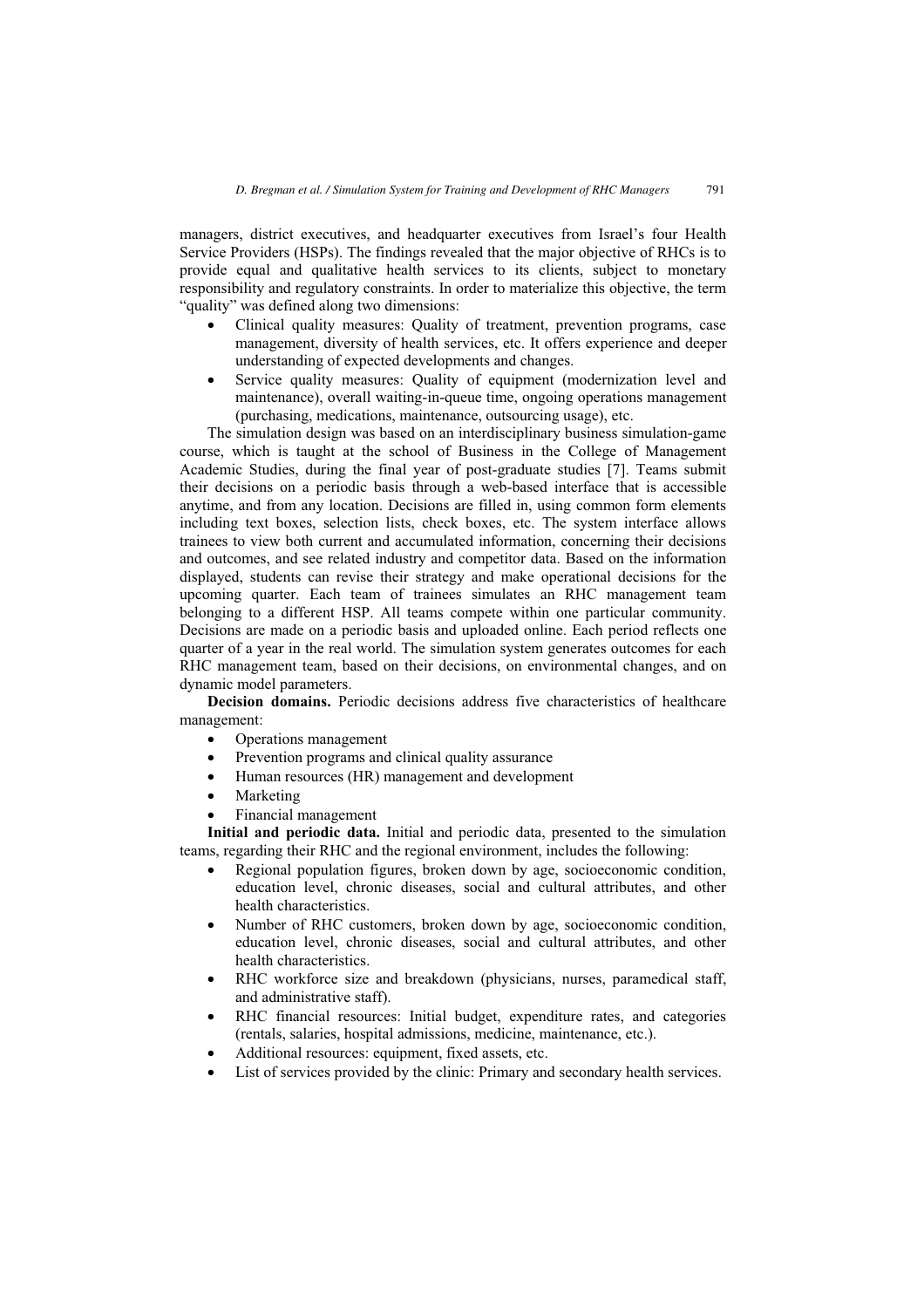managers, district executives, and headquarter executives from Israel's four Health Service Providers (HSPs). The findings revealed that the major objective of RHCs is to provide equal and qualitative health services to its clients, subject to monetary responsibility and regulatory constraints. In order to materialize this objective, the term "quality" was defined along two dimensions:

- Clinical quality measures: Quality of treatment, prevention programs, case management, diversity of health services, etc. It offers experience and deeper understanding of expected developments and changes.
- Service quality measures: Quality of equipment (modernization level and maintenance), overall waiting-in-queue time, ongoing operations management (purchasing, medications, maintenance, outsourcing usage), etc.

The simulation design was based on an interdisciplinary business simulation-game course, which is taught at the school of Business in the College of Management Academic Studies, during the final year of post-graduate studies [7]. Teams submit their decisions on a periodic basis through a web-based interface that is accessible anytime, and from any location. Decisions are filled in, using common form elements including text boxes, selection lists, check boxes, etc. The system interface allows trainees to view both current and accumulated information, concerning their decisions and outcomes, and see related industry and competitor data. Based on the information displayed, students can revise their strategy and make operational decisions for the upcoming quarter. Each team of trainees simulates an RHC management team belonging to a different HSP. All teams compete within one particular community. Decisions are made on a periodic basis and uploaded online. Each period reflects one quarter of a year in the real world. The simulation system generates outcomes for each RHC management team, based on their decisions, on environmental changes, and on dynamic model parameters.

**Decision domains.** Periodic decisions address five characteristics of healthcare management:

- Operations management
- Prevention programs and clinical quality assurance
- Human resources (HR) management and development
- **Marketing**
- x Financial management

**Initial and periodic data.** Initial and periodic data, presented to the simulation teams, regarding their RHC and the regional environment, includes the following:

- Regional population figures, broken down by age, socioeconomic condition, education level, chronic diseases, social and cultural attributes, and other health characteristics.
- Number of RHC customers, broken down by age, socioeconomic condition, education level, chronic diseases, social and cultural attributes, and other health characteristics.
- RHC workforce size and breakdown (physicians, nurses, paramedical staff, and administrative staff).
- x RHC financial resources: Initial budget, expenditure rates, and categories (rentals, salaries, hospital admissions, medicine, maintenance, etc.).
- Additional resources: equipment, fixed assets, etc.
- List of services provided by the clinic: Primary and secondary health services.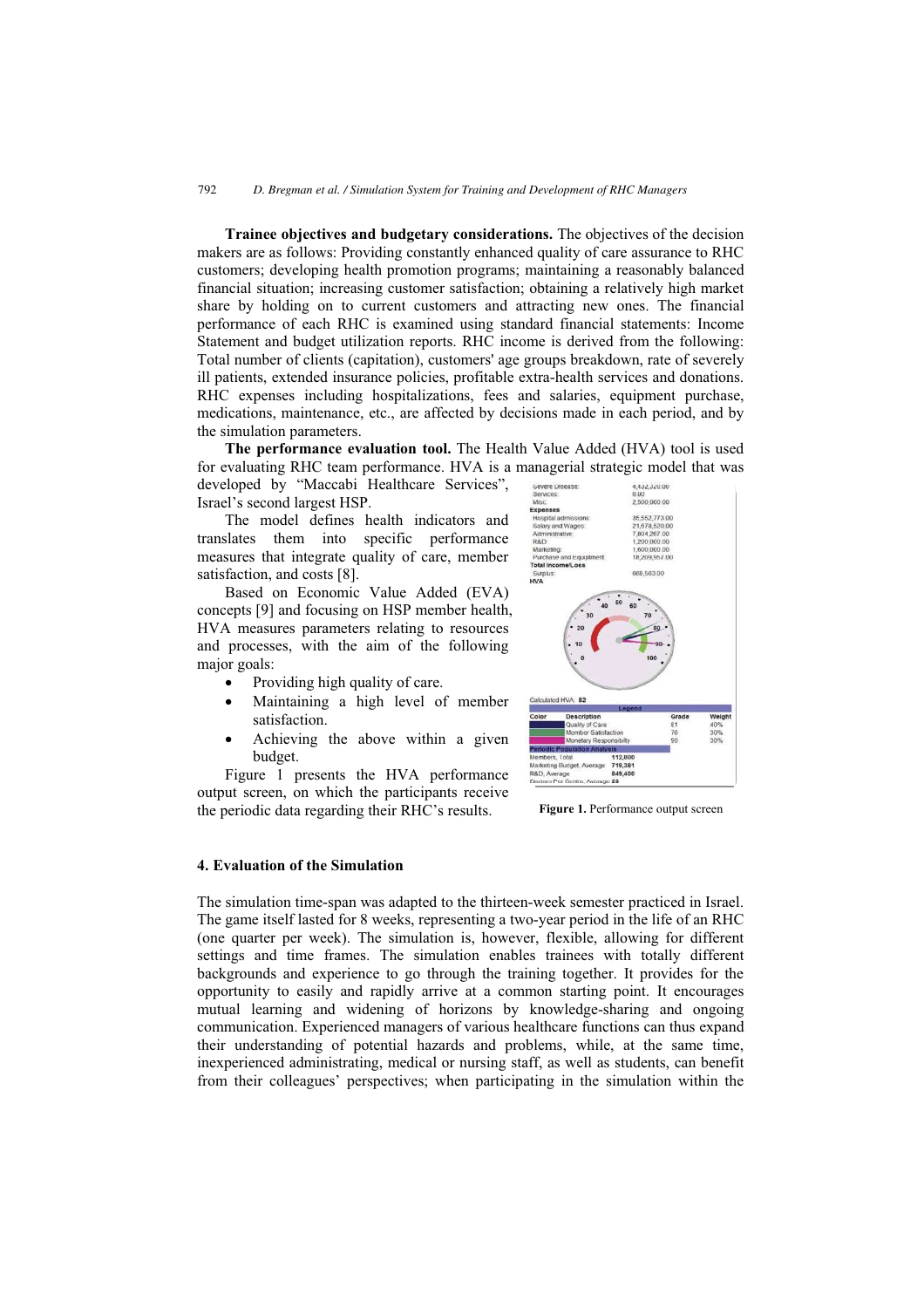#### 792 *D. Bregman et al. / Simulation System for Training and Development of RHC Managers*

**Trainee objectives and budgetary considerations.** The objectives of the decision makers are as follows: Providing constantly enhanced quality of care assurance to RHC customers; developing health promotion programs; maintaining a reasonably balanced financial situation; increasing customer satisfaction; obtaining a relatively high market share by holding on to current customers and attracting new ones. The financial performance of each RHC is examined using standard financial statements: Income Statement and budget utilization reports. RHC income is derived from the following: Total number of clients (capitation), customers' age groups breakdown, rate of severely ill patients, extended insurance policies, profitable extra-health services and donations. RHC expenses including hospitalizations, fees and salaries, equipment purchase, medications, maintenance, etc., are affected by decisions made in each period, and by the simulation parameters.

**The performance evaluation tool.** The Health Value Added (HVA) tool is used for evaluating RHC team performance. HVA is a managerial strategic model that was

developed by "Maccabi Healthcare Services", Israel's second largest HSP.

The model defines health indicators and translates them into specific performance measures that integrate quality of care, member satisfaction, and costs [8].

Based on Economic Value Added (EVA) concepts [9] and focusing on HSP member health, HVA measures parameters relating to resources and processes, with the aim of the following major goals:

- Providing high quality of care.
- Maintaining a high level of member satisfaction.
- Achieving the above within a given budget.

Figure 1 presents the HVA performance output screen, on which the participants receive the periodic data regarding their RHC's results. **Figure 1.** Performance output screen



## **4. Evaluation of the Simulation**

The simulation time-span was adapted to the thirteen-week semester practiced in Israel. The game itself lasted for 8 weeks, representing a two-year period in the life of an RHC (one quarter per week). The simulation is, however, flexible, allowing for different settings and time frames. The simulation enables trainees with totally different backgrounds and experience to go through the training together. It provides for the opportunity to easily and rapidly arrive at a common starting point. It encourages mutual learning and widening of horizons by knowledge-sharing and ongoing communication. Experienced managers of various healthcare functions can thus expand their understanding of potential hazards and problems, while, at the same time, inexperienced administrating, medical or nursing staff, as well as students, can benefit from their colleagues' perspectives; when participating in the simulation within the